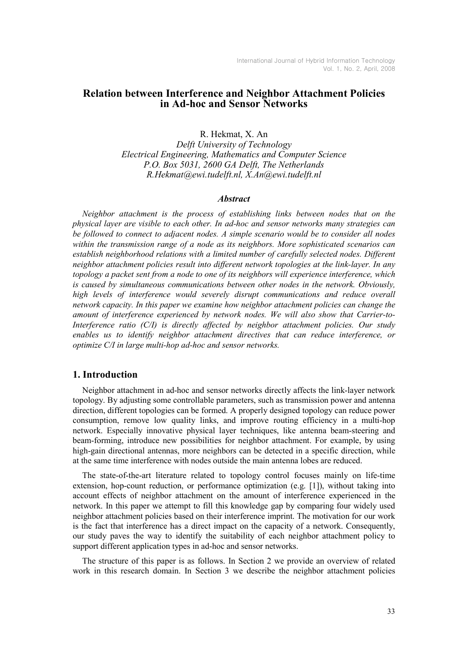# Relation between Interference and Neighbor Attachment Policies in Ad-hoc and Sensor Networks

R. Hekmat, X. An Delft University of Technology Electrical Engineering, Mathematics and Computer Science P.O. Box 5031, 2600 GA Delft, The Netherlands R.Hekmat@ewi.tudelft.nl, X.An@ewi.tudelft.nl

#### **Abstract**

Neighbor attachment is the process of establishing links between nodes that on the physical layer are visible to each other. In ad-hoc and sensor networks many strategies can be followed to connect to adjacent nodes. A simple scenario would be to consider all nodes within the transmission range of a node as its neighbors. More sophisticated scenarios can establish neighborhood relations with a limited number of carefully selected nodes. Different neighbor attachment policies result into different network topologies at the link-layer. In any topology a packet sent from a node to one of its neighbors will experience interference, which is caused by simultaneous communications between other nodes in the network. Obviously, high levels of interference would severely disrupt communications and reduce overall network capacity. In this paper we examine how neighbor attachment policies can change the amount of interference experienced by network nodes. We will also show that Carrier-to-Interference ratio (C/I) is directly affected by neighbor attachment policies. Our study enables us to identify neighbor attachment directives that can reduce interference, or optimize C/I in large multi-hop ad-hoc and sensor networks.

### 1. Introduction

Neighbor attachment in ad-hoc and sensor networks directly affects the link-layer network topology. By adjusting some controllable parameters, such as transmission power and antenna direction, different topologies can be formed. A properly designed topology can reduce power consumption, remove low quality links, and improve routing efficiency in a multi-hop network. Especially innovative physical layer techniques, like antenna beam-steering and beam-forming, introduce new possibilities for neighbor attachment. For example, by using high-gain directional antennas, more neighbors can be detected in a specific direction, while at the same time interference with nodes outside the main antenna lobes are reduced.

The state-of-the-art literature related to topology control focuses mainly on life-time extension, hop-count reduction, or performance optimization (e.g. [1]), without taking into account effects of neighbor attachment on the amount of interference experienced in the network. In this paper we attempt to fill this knowledge gap by comparing four widely used neighbor attachment policies based on their interference imprint. The motivation for our work is the fact that interference has a direct impact on the capacity of a network. Consequently, our study paves the way to identify the suitability of each neighbor attachment policy to support different application types in ad-hoc and sensor networks.

The structure of this paper is as follows. In Section 2 we provide an overview of related work in this research domain. In Section 3 we describe the neighbor attachment policies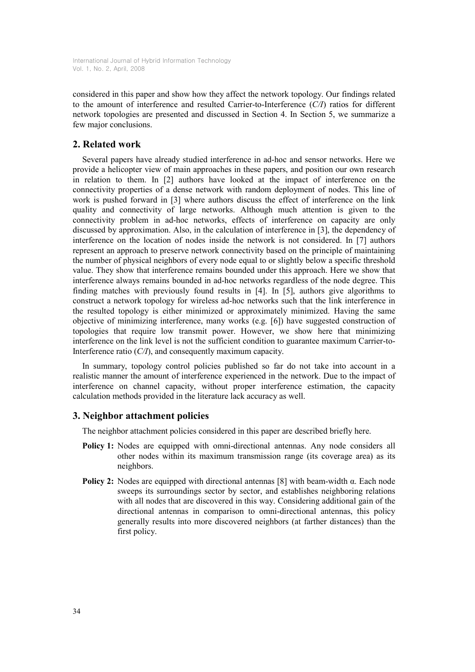considered in this paper and show how they affect the network topology. Our findings related to the amount of interference and resulted Carrier-to-Interference  $(C/I)$  ratios for different network topologies are presented and discussed in Section 4. In Section 5, we summarize a few major conclusions.

## 2. Related work

Several papers have already studied interference in ad-hoc and sensor networks. Here we provide a helicopter view of main approaches in these papers, and position our own research in relation to them. In [2] authors have looked at the impact of interference on the connectivity properties of a dense network with random deployment of nodes. This line of work is pushed forward in [3] where authors discuss the effect of interference on the link quality and connectivity of large networks. Although much attention is given to the connectivity problem in ad-hoc networks, effects of interference on capacity are only discussed by approximation. Also, in the calculation of interference in [3], the dependency of interference on the location of nodes inside the network is not considered. In [7] authors represent an approach to preserve network connectivity based on the principle of maintaining the number of physical neighbors of every node equal to or slightly below a specific threshold value. They show that interference remains bounded under this approach. Here we show that interference always remains bounded in ad-hoc networks regardless of the node degree. This finding matches with previously found results in [4]. In [5], authors give algorithms to construct a network topology for wireless ad-hoc networks such that the link interference in the resulted topology is either minimized or approximately minimized. Having the same objective of minimizing interference, many works (e.g. [6]) have suggested construction of topologies that require low transmit power. However, we show here that minimizing interference on the link level is not the sufficient condition to guarantee maximum Carrier-to-Interference ratio  $(C/I)$ , and consequently maximum capacity.

In summary, topology control policies published so far do not take into account in a realistic manner the amount of interference experienced in the network. Due to the impact of interference on channel capacity, without proper interference estimation, the capacity calculation methods provided in the literature lack accuracy as well.

### 3. Neighbor attachment policies

The neighbor attachment policies considered in this paper are described briefly here.

- Policy 1: Nodes are equipped with omni-directional antennas. Any node considers all other nodes within its maximum transmission range (its coverage area) as its neighbors.
- **Policy 2:** Nodes are equipped with directional antennas [8] with beam-width α. Each node sweeps its surroundings sector by sector, and establishes neighboring relations with all nodes that are discovered in this way. Considering additional gain of the directional antennas in comparison to omni-directional antennas, this policy generally results into more discovered neighbors (at farther distances) than the first policy.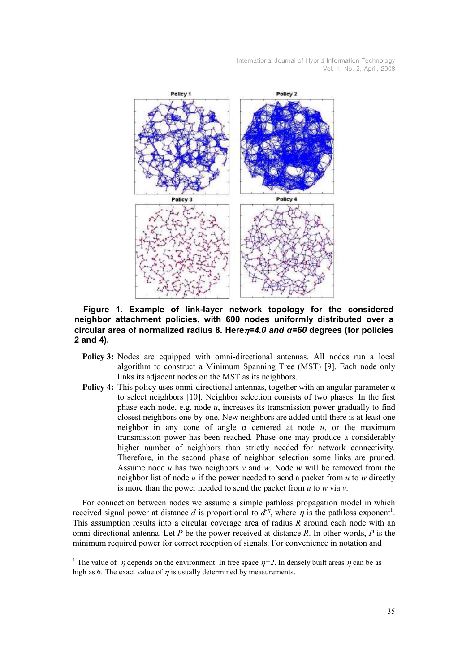

Figure 1. Example of link-layer network topology for the considered neighbor attachment policies, with 600 nodes uniformly distributed over a circular area of normalized radius 8. Here $n=4.0$  and  $\alpha=60$  degrees (for policies 2 and 4).

- Policy 3: Nodes are equipped with omni-directional antennas. All nodes run a local algorithm to construct a Minimum Spanning Tree (MST) [9]. Each node only links its adjacent nodes on the MST as its neighbors.
- **Policy 4:** This policy uses omni-directional antennas, together with an angular parameter  $\alpha$ to select neighbors [10]. Neighbor selection consists of two phases. In the first phase each node, e.g. node  $u$ , increases its transmission power gradually to find closest neighbors one-by-one. New neighbors are added until there is at least one neighbor in any cone of angle  $\alpha$  centered at node  $u$ , or the maximum transmission power has been reached. Phase one may produce a considerably higher number of neighbors than strictly needed for network connectivity. Therefore, in the second phase of neighbor selection some links are pruned. Assume node u has two neighbors v and w. Node w will be removed from the neighbor list of node  $u$  if the power needed to send a packet from  $u$  to  $w$  directly is more than the power needed to send the packet from  $u$  to  $w$  via  $v$ .

For connection between nodes we assume a simple pathloss propagation model in which received signal power at distance d is proportional to  $d^{\eta}$ , where  $\eta$  is the pathloss exponent<sup>1</sup>. This assumption results into a circular coverage area of radius  $R$  around each node with an omni-directional antenna. Let P be the power received at distance R. In other words, P is the minimum required power for correct reception of signals. For convenience in notation and

-

<sup>&</sup>lt;sup>1</sup> The value of  $\eta$  depends on the environment. In free space  $\eta=2$ . In densely built areas  $\eta$  can be as high as 6. The exact value of  $\eta$  is usually determined by measurements.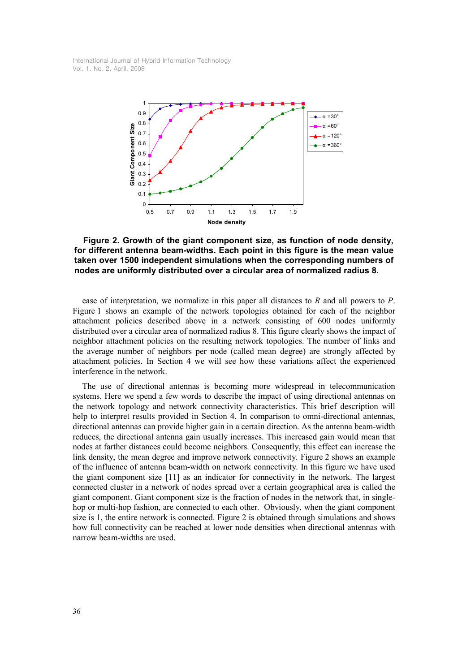

Figure 2. Growth of the giant component size, as function of node density, for different antenna beam-widths. Each point in this figure is the mean value taken over 1500 independent simulations when the corresponding numbers of nodes are uniformly distributed over a circular area of normalized radius 8.

ease of interpretation, we normalize in this paper all distances to R and all powers to P. Figure 1 shows an example of the network topologies obtained for each of the neighbor attachment policies described above in a network consisting of 600 nodes uniformly distributed over a circular area of normalized radius 8. This figure clearly shows the impact of neighbor attachment policies on the resulting network topologies. The number of links and the average number of neighbors per node (called mean degree) are strongly affected by attachment policies. In Section 4 we will see how these variations affect the experienced interference in the network.

The use of directional antennas is becoming more widespread in telecommunication systems. Here we spend a few words to describe the impact of using directional antennas on the network topology and network connectivity characteristics. This brief description will help to interpret results provided in Section 4. In comparison to omni-directional antennas, directional antennas can provide higher gain in a certain direction. As the antenna beam-width reduces, the directional antenna gain usually increases. This increased gain would mean that nodes at farther distances could become neighbors. Consequently, this effect can increase the link density, the mean degree and improve network connectivity. Figure 2 shows an example of the influence of antenna beam-width on network connectivity. In this figure we have used the giant component size [11] as an indicator for connectivity in the network. The largest connected cluster in a network of nodes spread over a certain geographical area is called the giant component. Giant component size is the fraction of nodes in the network that, in singlehop or multi-hop fashion, are connected to each other. Obviously, when the giant component size is 1, the entire network is connected. Figure 2 is obtained through simulations and shows how full connectivity can be reached at lower node densities when directional antennas with narrow beam-widths are used.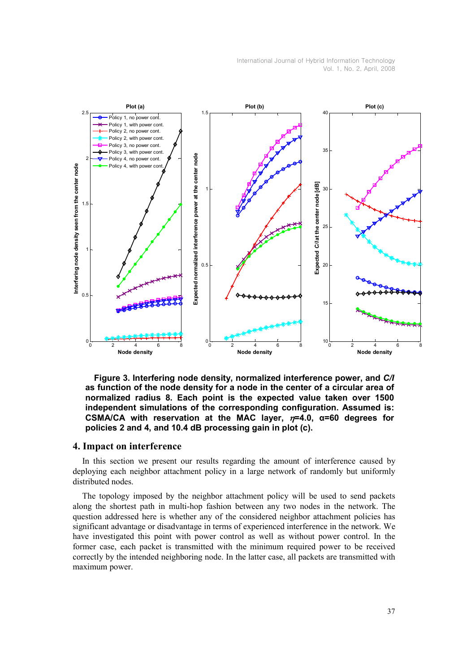

Figure 3. Interfering node density, normalized interference power, and C/I as function of the node density for a node in the center of a circular area of normalized radius 8. Each point is the expected value taken over 1500 independent simulations of the corresponding configuration. Assumed is: CSMA/CA with reservation at the MAC layer,  $n=4.0$ ,  $\alpha=60$  degrees for policies 2 and 4, and 10.4 dB processing gain in plot (c).

### 4. Impact on interference

In this section we present our results regarding the amount of interference caused by deploying each neighbor attachment policy in a large network of randomly but uniformly distributed nodes.

The topology imposed by the neighbor attachment policy will be used to send packets along the shortest path in multi-hop fashion between any two nodes in the network. The question addressed here is whether any of the considered neighbor attachment policies has significant advantage or disadvantage in terms of experienced interference in the network. We have investigated this point with power control as well as without power control. In the former case, each packet is transmitted with the minimum required power to be received correctly by the intended neighboring node. In the latter case, all packets are transmitted with maximum power.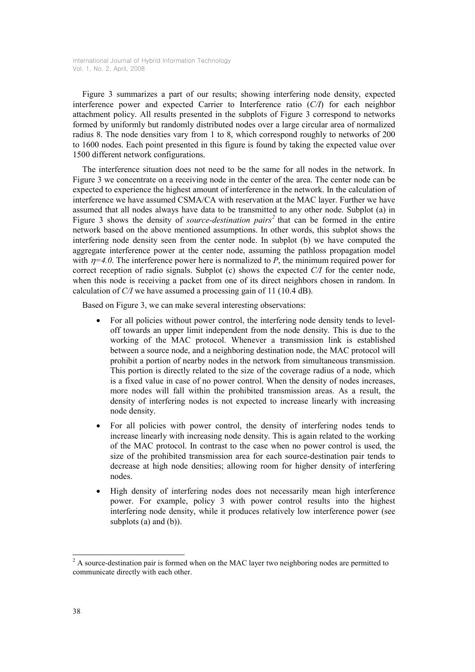Figure 3 summarizes a part of our results; showing interfering node density, expected interference power and expected Carrier to Interference ratio (C/I) for each neighbor attachment policy. All results presented in the subplots of Figure 3 correspond to networks formed by uniformly but randomly distributed nodes over a large circular area of normalized radius 8. The node densities vary from 1 to 8, which correspond roughly to networks of 200 to 1600 nodes. Each point presented in this figure is found by taking the expected value over 1500 different network configurations.

The interference situation does not need to be the same for all nodes in the network. In Figure 3 we concentrate on a receiving node in the center of the area. The center node can be expected to experience the highest amount of interference in the network. In the calculation of interference we have assumed CSMA/CA with reservation at the MAC layer. Further we have assumed that all nodes always have data to be transmitted to any other node. Subplot (a) in Figure 3 shows the density of *source-destination pairs*<sup>2</sup> that can be formed in the entire network based on the above mentioned assumptions. In other words, this subplot shows the interfering node density seen from the center node. In subplot (b) we have computed the aggregate interference power at the center node, assuming the pathloss propagation model with  $\eta=4.0$ . The interference power here is normalized to P, the minimum required power for correct reception of radio signals. Subplot (c) shows the expected C/I for the center node, when this node is receiving a packet from one of its direct neighbors chosen in random. In calculation of C/I we have assumed a processing gain of 11 (10.4 dB).

Based on Figure 3, we can make several interesting observations:

- For all policies without power control, the interfering node density tends to leveloff towards an upper limit independent from the node density. This is due to the working of the MAC protocol. Whenever a transmission link is established between a source node, and a neighboring destination node, the MAC protocol will prohibit a portion of nearby nodes in the network from simultaneous transmission. This portion is directly related to the size of the coverage radius of a node, which is a fixed value in case of no power control. When the density of nodes increases, more nodes will fall within the prohibited transmission areas. As a result, the density of interfering nodes is not expected to increase linearly with increasing node density.
- For all policies with power control, the density of interfering nodes tends to increase linearly with increasing node density. This is again related to the working of the MAC protocol. In contrast to the case when no power control is used, the size of the prohibited transmission area for each source-destination pair tends to decrease at high node densities; allowing room for higher density of interfering nodes.
- High density of interfering nodes does not necessarily mean high interference power. For example, policy 3 with power control results into the highest interfering node density, while it produces relatively low interference power (see subplots (a) and (b)).

 $\frac{1}{2}$  A source-destination pair is formed when on the MAC layer two neighboring nodes are permitted to communicate directly with each other.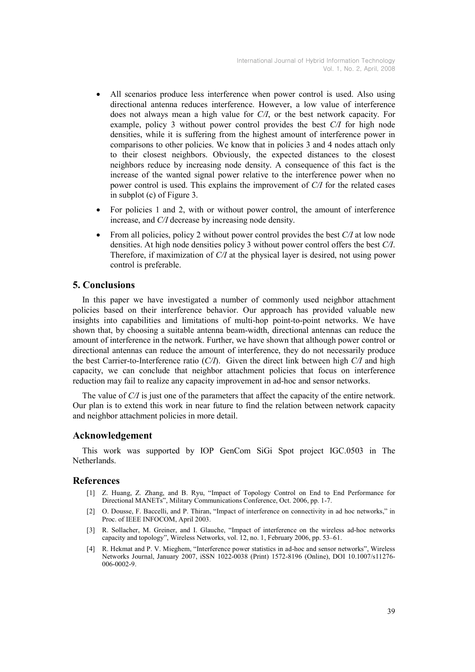- All scenarios produce less interference when power control is used. Also using directional antenna reduces interference. However, a low value of interference does not always mean a high value for C/I, or the best network capacity. For example, policy 3 without power control provides the best C/I for high node densities, while it is suffering from the highest amount of interference power in comparisons to other policies. We know that in policies 3 and 4 nodes attach only to their closest neighbors. Obviously, the expected distances to the closest neighbors reduce by increasing node density. A consequence of this fact is the increase of the wanted signal power relative to the interference power when no power control is used. This explains the improvement of C/I for the related cases in subplot (c) of Figure 3.
- For policies 1 and 2, with or without power control, the amount of interference increase, and C/I decrease by increasing node density.
- From all policies, policy 2 without power control provides the best  $C/I$  at low node densities. At high node densities policy 3 without power control offers the best C/I. Therefore, if maximization of C/I at the physical layer is desired, not using power control is preferable.

## 5. Conclusions

In this paper we have investigated a number of commonly used neighbor attachment policies based on their interference behavior. Our approach has provided valuable new insights into capabilities and limitations of multi-hop point-to-point networks. We have shown that, by choosing a suitable antenna beam-width, directional antennas can reduce the amount of interference in the network. Further, we have shown that although power control or directional antennas can reduce the amount of interference, they do not necessarily produce the best Carrier-to-Interference ratio  $(C/I)$ . Given the direct link between high  $C/I$  and high capacity, we can conclude that neighbor attachment policies that focus on interference reduction may fail to realize any capacity improvement in ad-hoc and sensor networks.

The value of C/I is just one of the parameters that affect the capacity of the entire network. Our plan is to extend this work in near future to find the relation between network capacity and neighbor attachment policies in more detail.

## Acknowledgement

This work was supported by IOP GenCom SiGi Spot project IGC.0503 in The Netherlands.

#### References

- [1] Z. Huang, Z. Zhang, and B. Ryu, "Impact of Topology Control on End to End Performance for Directional MANETs", Military Communications Conference, Oct. 2006, pp. 1-7.
- [2] O. Dousse, F. Baccelli, and P. Thiran, "Impact of interference on connectivity in ad hoc networks," in Proc. of IEEE INFOCOM, April 2003.
- [3] R. Sollacher, M. Greiner, and I. Glauche, "Impact of interference on the wireless ad-hoc networks capacity and topology", Wireless Networks, vol. 12, no. 1, February 2006, pp. 53–61.
- [4] R. Hekmat and P. V. Mieghem, "Interference power statistics in ad-hoc and sensor networks", Wireless Networks Journal, January 2007, iSSN 1022-0038 (Print) 1572-8196 (Online), DOI 10.1007/s11276- 006-0002-9.